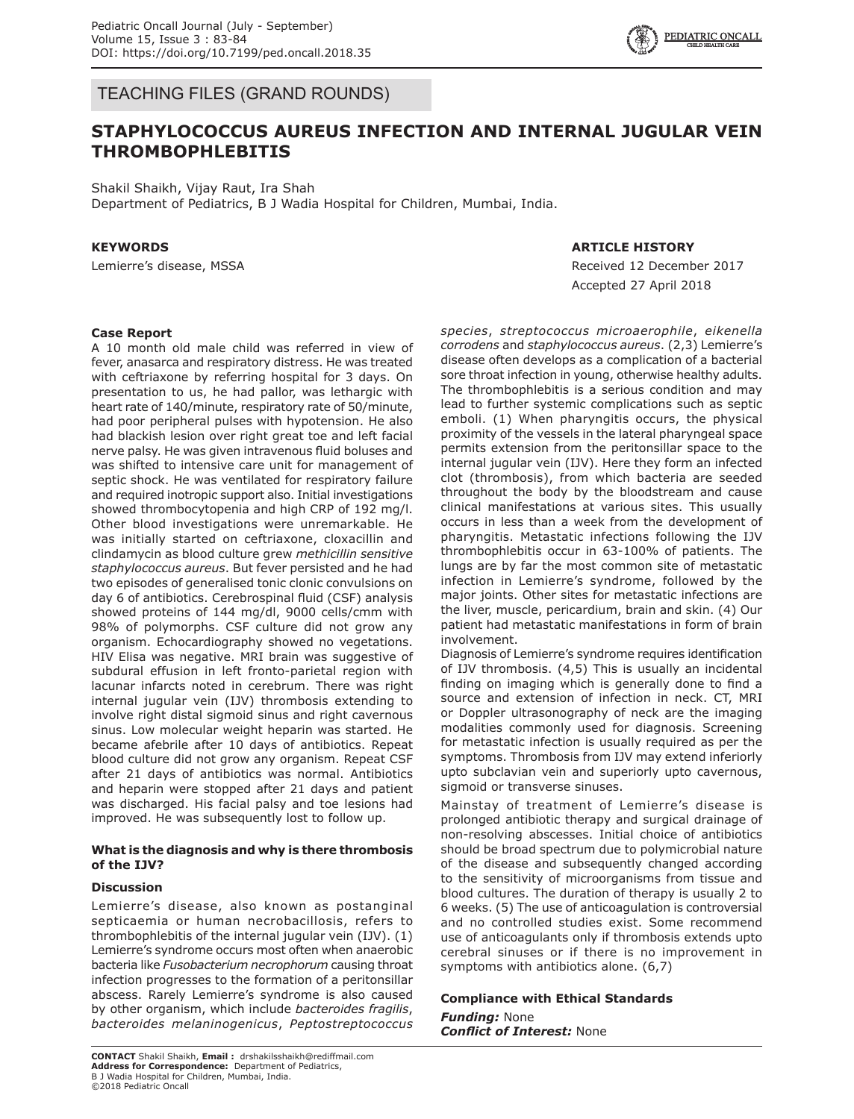

TEACHING FILES (GRAND ROUNDS)

# **STAPHYLOCOCCUS AUREUS INFECTION AND INTERNAL JUGULAR VEIN THROMBOPHLEBITIS**

Shakil Shaikh, Vijay Raut, Ira Shah Department of Pediatrics, B J Wadia Hospital for Children, Mumbai, India.

# **KEYWORDS**

Lemierre's disease, MSSA

## **ARTICLE HISTORY**

Received 12 December 2017 Accepted 27 April 2018

#### **Case Report**

A 10 month old male child was referred in view of fever, anasarca and respiratory distress. He was treated with ceftriaxone by referring hospital for 3 days. On presentation to us, he had pallor, was lethargic with heart rate of 140/minute, respiratory rate of 50/minute, had poor peripheral pulses with hypotension. He also had blackish lesion over right great toe and left facial nerve palsy. He was given intravenous fluid boluses and was shifted to intensive care unit for management of septic shock. He was ventilated for respiratory failure and required inotropic support also. Initial investigations showed thrombocytopenia and high CRP of 192 mg/l. Other blood investigations were unremarkable. He was initially started on ceftriaxone, cloxacillin and clindamycin as blood culture grew *methicillin sensitive staphylococcus aureus*. But fever persisted and he had two episodes of generalised tonic clonic convulsions on day 6 of antibiotics. Cerebrospinal fluid (CSF) analysis showed proteins of 144 mg/dl, 9000 cells/cmm with 98% of polymorphs. CSF culture did not grow any organism. Echocardiography showed no vegetations. HIV Elisa was negative. MRI brain was suggestive of subdural effusion in left fronto-parietal region with lacunar infarcts noted in cerebrum. There was right internal jugular vein (IJV) thrombosis extending to involve right distal sigmoid sinus and right cavernous sinus. Low molecular weight heparin was started. He became afebrile after 10 days of antibiotics. Repeat blood culture did not grow any organism. Repeat CSF after 21 days of antibiotics was normal. Antibiotics and heparin were stopped after 21 days and patient was discharged. His facial palsy and toe lesions had improved. He was subsequently lost to follow up.

#### **What is the diagnosis and why is there thrombosis of the IJV?**

#### **Discussion**

Lemierre's disease, also known as postanginal septicaemia or human necrobacillosis, refers to thrombophlebitis of the internal jugular vein (IJV). (1) Lemierre's syndrome occurs most often when anaerobic bacteria like *Fusobacterium necrophorum* causing throat infection progresses to the formation of a peritonsillar abscess. Rarely Lemierre's syndrome is also caused by other organism, which include *bacteroides fragilis*, *bacteroides melaninogenicus*, *Peptostreptococcus* 

**CONTACT** Shakil Shaikh, **Email :** drshakilsshaikh@rediffmail.com **Address for Correspondence:** Department of Pediatrics, B J Wadia Hospital for Children, Mumbai, India. ©2018 Pediatric Oncall

*species*, *streptococcus microaerophile*, *eikenella corrodens* and *staphylococcus aureus*. (2,3) Lemierre's disease often develops as a complication of a bacterial sore throat infection in young, otherwise healthy adults. The thrombophlebitis is a serious condition and may lead to further systemic complications such as septic emboli. (1) When pharyngitis occurs, the physical proximity of the vessels in the lateral pharyngeal space permits extension from the peritonsillar space to the internal jugular vein (IJV). Here they form an infected clot (thrombosis), from which bacteria are seeded throughout the body by the bloodstream and cause clinical manifestations at various sites. This usually occurs in less than a week from the development of pharyngitis. Metastatic infections following the IJV thrombophlebitis occur in 63-100% of patients. The lungs are by far the most common site of metastatic infection in Lemierre's syndrome, followed by the major joints. Other sites for metastatic infections are the liver, muscle, pericardium, brain and skin. (4) Our patient had metastatic manifestations in form of brain involvement.

Diagnosis of Lemierre's syndrome requires identification of IJV thrombosis. (4,5) This is usually an incidental finding on imaging which is generally done to find a source and extension of infection in neck. CT, MRI or Doppler ultrasonography of neck are the imaging modalities commonly used for diagnosis. Screening for metastatic infection is usually required as per the symptoms. Thrombosis from IJV may extend inferiorly upto subclavian vein and superiorly upto cavernous, sigmoid or transverse sinuses.

Mainstay of treatment of Lemierre's disease is prolonged antibiotic therapy and surgical drainage of non-resolving abscesses. Initial choice of antibiotics should be broad spectrum due to polymicrobial nature of the disease and subsequently changed according to the sensitivity of microorganisms from tissue and blood cultures. The duration of therapy is usually 2 to 6 weeks. (5) The use of anticoagulation is controversial and no controlled studies exist. Some recommend use of anticoagulants only if thrombosis extends upto cerebral sinuses or if there is no improvement in symptoms with antibiotics alone. (6,7)

#### **Compliance with Ethical Standards** *Funding:* None *Conflict of Interest:* None